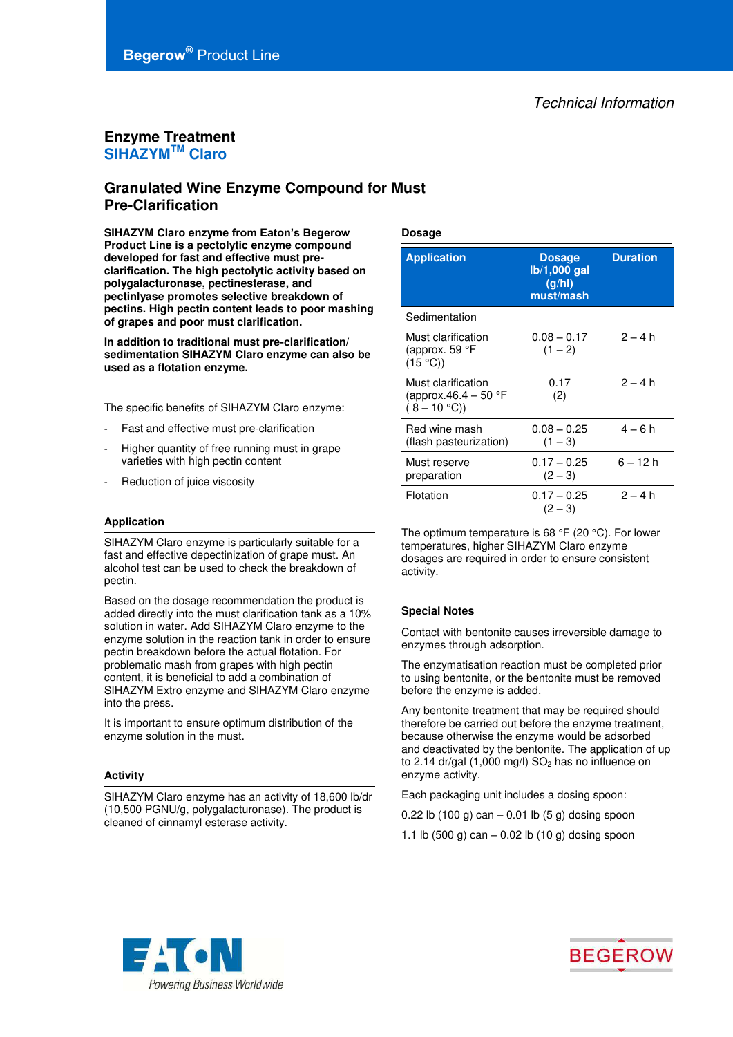# **Begerow®** Product Line

### **Enzyme Treatment SIHAZYMTM Claro**

## **Granulated Wine Enzyme Compound for Must Pre-Clarification**

**SIHAZYM Claro enzyme from Eaton's Begerow Product Line is a pectolytic enzyme compound developed for fast and effective must preclarification. The high pectolytic activity based on polygalacturonase, pectinesterase, and pectinlyase promotes selective breakdown of pectins. High pectin content leads to poor mashing of grapes and poor must clarification.**

**In addition to traditional must pre-clarification/ sedimentation SIHAZYM Claro enzyme can also be used as a flotation enzyme.** 

The specific benefits of SIHAZYM Claro enzyme:

- Fast and effective must pre-clarification
- Higher quantity of free running must in grape varieties with high pectin content
- Reduction of juice viscosity

#### **Application**

SIHAZYM Claro enzyme is particularly suitable for a fast and effective depectinization of grape must. An alcohol test can be used to check the breakdown of pectin.

Based on the dosage recommendation the product is added directly into the must clarification tank as a 10% solution in water. Add SIHAZYM Claro enzyme to the enzyme solution in the reaction tank in order to ensure pectin breakdown before the actual flotation. For problematic mash from grapes with high pectin content, it is beneficial to add a combination of SIHAZYM Extro enzyme and SIHAZYM Claro enzyme into the press.

It is important to ensure optimum distribution of the enzyme solution in the must.

#### **Activity**

SIHAZYM Claro enzyme has an activity of 18,600 lb/dr (10,500 PGNU/g, polygalacturonase). The product is cleaned of cinnamyl esterase activity.

#### **Dosage**

| <b>Application</b>                                          | <b>Dosage</b><br>$Ib/1,000$ gal<br>(g/hl)<br>must/mash | <b>Duration</b> |
|-------------------------------------------------------------|--------------------------------------------------------|-----------------|
| Sedimentation                                               |                                                        |                 |
| Must clarification<br>(approx. 59 °F<br>(15 °C)             | $0.08 - 0.17$<br>$(1 - 2)$                             | $2 - 4 h$       |
| Must clarification<br>(approx.46.4 – 50 °F<br>$(8 - 10 °C)$ | 0.17<br>(2)                                            | $2 - 4 h$       |
| Red wine mash<br>(flash pasteurization)                     | $0.08 - 0.25$<br>$(1 - 3)$                             | $4 - 6 h$       |
| Must reserve<br>preparation                                 | $0.17 - 0.25$<br>$(2 - 3)$                             | 6 – 12 h        |
| Flotation                                                   | $0.17 - 0.25$<br>$(2 - 3)$                             | $2 - 4 h$       |

The optimum temperature is 68 °F (20 °C). For lower temperatures, higher SIHAZYM Claro enzyme dosages are required in order to ensure consistent activity.

#### **Special Notes**

Contact with bentonite causes irreversible damage to enzymes through adsorption.

The enzymatisation reaction must be completed prior to using bentonite, or the bentonite must be removed before the enzyme is added.

Any bentonite treatment that may be required should therefore be carried out before the enzyme treatment, because otherwise the enzyme would be adsorbed and deactivated by the bentonite. The application of up to 2.14 dr/gal  $(1,000 \text{ mg/l})$  SO<sub>2</sub> has no influence on enzyme activity.

Each packaging unit includes a dosing spoon:

0.22 lb  $(100 g)$  can – 0.01 lb  $(5 g)$  dosing spoon

1.1 lb (500 g) can  $-$  0.02 lb (10 g) dosing spoon